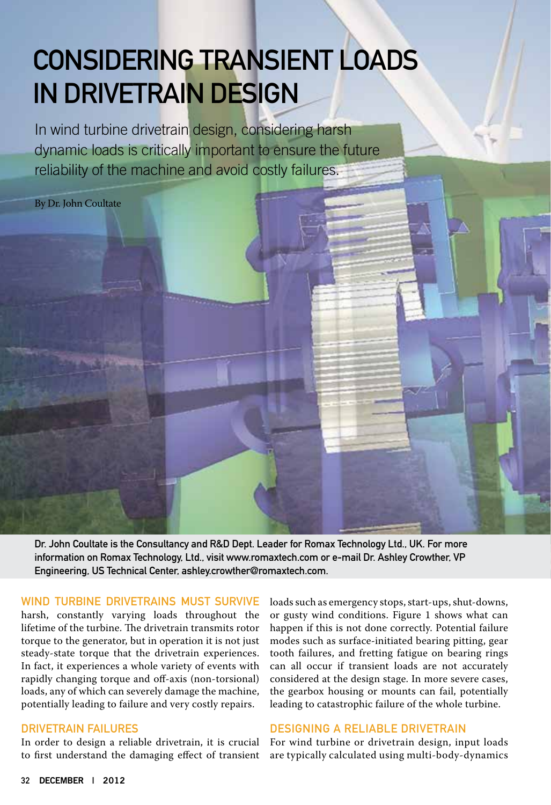### Considering Transient Loads in Drivetrain Design

In wind turbine drivetrain design, considering harsh dynamic loads is critically important to ensure the future reliability of the machine and avoid costly failures.

By Dr. John Coultate

Dr. John Coultate is the Consultancy and R&D Dept. Leader for Romax Technology Ltd., UK. For more information on Romax Technology, Ltd., visi[t www.romaxtech.com o](http://www.romaxtech.com)r e-mail Dr. Ashley Crowther, VP Engineering, US Technical Center, [ashley.crowther@romaxtech.com.](mailto:ashley.crowther@romaxtech.com?subject=Referred by Wind Systems Mag)

### WIND TURBINE DRIVETRAINS MUST SURVIVE

harsh, constantly varying loads throughout the lifetime of the turbine. The drivetrain transmits rotor torque to the generator, but in operation it is not just steady-state torque that the drivetrain experiences. In fact, it experiences a whole variety of events with rapidly changing torque and off-axis (non-torsional) loads, any of which can severely damage the machine, potentially leading to failure and very costly repairs.

### DRIVETRAIN FAILURES

In order to design a reliable drivetrain, it is crucial to first understand the damaging effect of transient loads such as emergency stops, start-ups, shut-downs, or gusty wind conditions. Figure 1 shows what can happen if this is not done correctly. Potential failure modes such as surface-initiated bearing pitting, gear tooth failures, and fretting fatigue on bearing rings can all occur if transient loads are not accurately considered at the design stage. In more severe cases, the gearbox housing or mounts can fail, potentially leading to catastrophic failure of the whole turbine.

### DESIGNING A RELIABLE DRIVETRAIN

For wind turbine or drivetrain design, input loads are typically calculated using multi-body-dynamics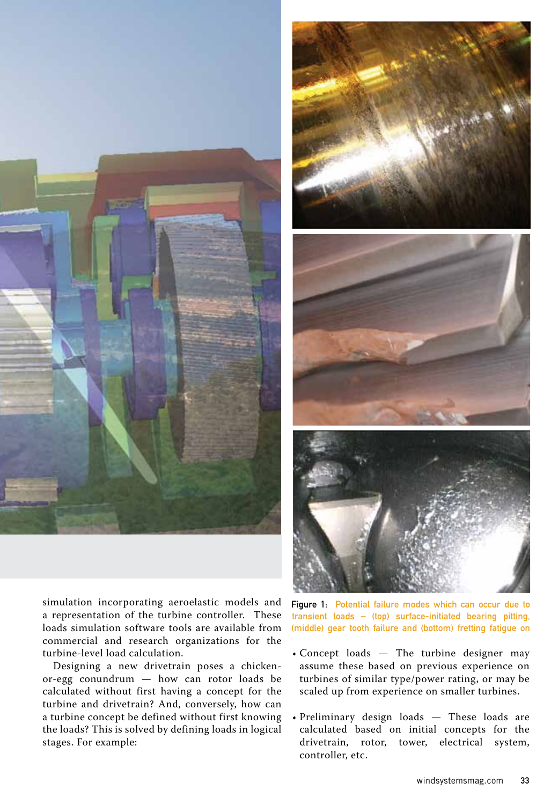



Designing a new drivetrain poses a chickenor-egg conundrum — how can rotor loads be calculated without first having a concept for the turbine and drivetrain? And, conversely, how can a turbine concept be defined without first knowing the loads? This is solved by defining loads in logical stages. For example:



Figure 1: Potential failure modes which can occur due to transient loads – (top) surface-initiated bearing pitting, (middle) gear tooth failure and (bottom) fretting fatigue on

- Concept loads The turbine designer may assume these based on previous experience on turbines of similar type/power rating, or may be scaled up from experience on smaller turbines.
- Preliminary design loads These loads are calculated based on initial concepts for the drivetrain, rotor, tower, electrical system, controller, etc.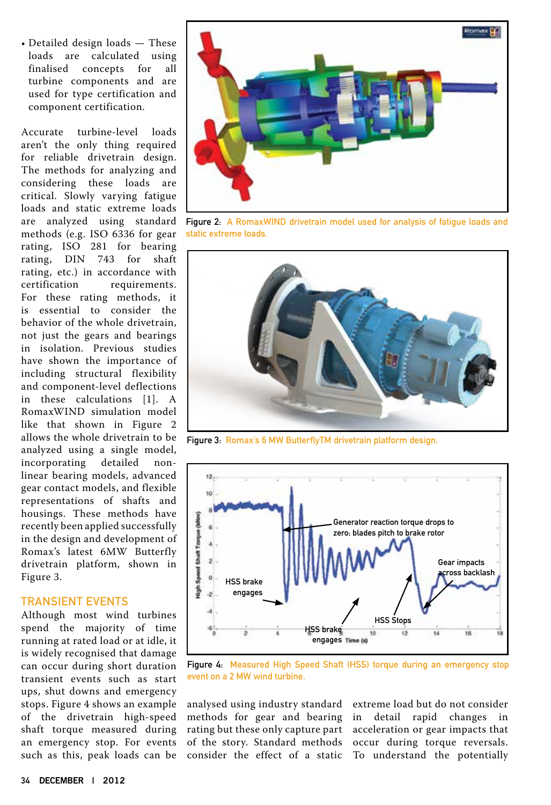• Detailed design loads — These<br>loads are calculated using are calculated using<br>ed concepts for all finalised concepts for turbine components and are used for type certification and component certification.

Accurate turbine-level loads aren't the only thing required for reliable drivetrain design. The methods for analyzing and considering these loads are critical. Slowly varying fatigue loads and static extreme loads are analyzed using standard methods (e.g. ISO 6336 for gear rating, ISO 281 for bearing rating, DIN 743 for shaft rating, etc.) in accordance with<br>certification requirements. requirements. For these rating methods, it is essential to consider the behavior of the whole drivetrain, not just the gears and bearings in isolation. Previous studies have shown the importance of including structural flexibility and component-level deflections in these calculations [1]. A RomaxWIND simulation model like that shown in Figure 2 allows the whole drivetrain to be analyzed using a single model, incorporating detailed nonlinear bearing models, advanced gear contact models, and flexible representations of shafts and housings. These methods have recently been applied successfully in the design and development of Romax's latest 6MW Butterfly drivetrain platform, shown in Figure 3.

### Transient events

Although most wind turbines spend the majority of time running at rated load or at idle, it is widely recognised that damage can occur during short duration transient events such as start ups, shut downs and emergency stops. Figure 4 shows an example of the drivetrain high-speed shaft torque measured during an emergency stop. For events such as this, peak loads can be



Figure 2: A RomaxWIND drivetrain model used for analysis of fatigue loads and static extreme loads.



Figure 3: Romax's 6 MW ButterflyTM drivetrain platform design.



Figure 4: Measured High Speed Shaft (HSS) torque during an emergency stop event on a 2 MW wind turbine.

analysed using industry standard methods for gear and bearing rating but these only capture part of the story. Standard methods consider the effect of a static To understand the potentially

extreme load but do not consider in detail rapid changes in acceleration or gear impacts that occur during torque reversals.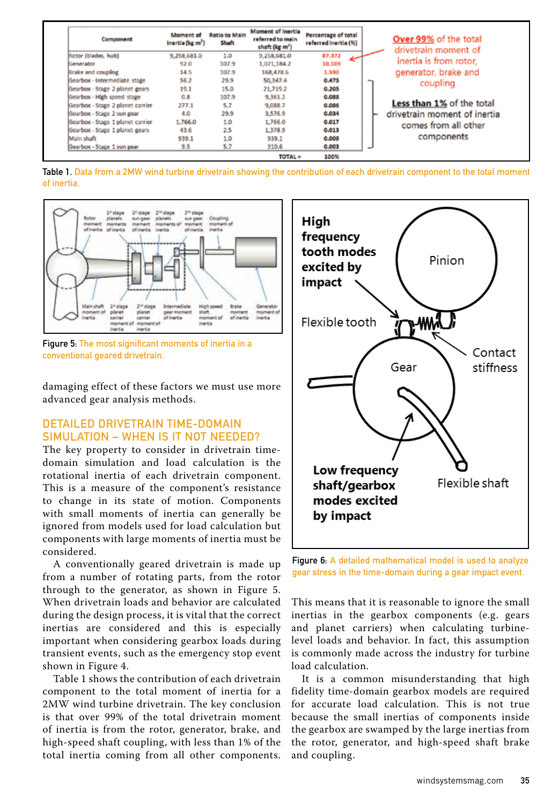| Component                        | Moment of<br>inertia (kg m <sup>2</sup> ) | Ratio to Main<br>Shaft | Moment of inertial<br>referred to main<br>shaft (kg m <sup>2</sup> ) | Percentage of total<br>referred inertia (%) | Over 99% of the total<br>drivetrain moment of |
|----------------------------------|-------------------------------------------|------------------------|----------------------------------------------------------------------|---------------------------------------------|-----------------------------------------------|
| Rotor (blades, hub)              | 9,258,681.0                               | 1.0                    | 9,258,681.0                                                          | 87.372<br>سبھ                               |                                               |
| Generator                        | 92.0                                      | 107.9                  | 1,071,184.2                                                          | 10.109                                      | inertia is from rotor.                        |
| <b>Brake and coupling</b>        | 14.5                                      | 107.9                  | 168,478.6                                                            | 1,590                                       | generator, brake and                          |
| Gearbox - Intermediate stage     | \$6.2                                     | 29.9                   | 50,347.4                                                             | 0.475                                       | coupling                                      |
| Gearbox - Stage 2 planet gears   | 19.1                                      | 15.0                   | 21,719.2                                                             | 0.205                                       |                                               |
| Gearbox - High speed stage       | 0.8                                       | 107.9                  | 9,361.2                                                              | 0.088                                       |                                               |
| Gearbox - Stage 2 planet carrier | 277.1                                     | 5.7                    | 9,088.7                                                              | 0.086                                       | Less than 1% of the total                     |
| Gearbox - Stage 2 sun gear       | 4.0                                       | 29.9                   | 3,576.9                                                              | 0.034                                       | drivetrain moment of inertia                  |
| Gearbox - Stage 1 planet carrier | 1,766.0                                   | 1.0                    | 1,766.0                                                              | 0.017                                       | comes from all other                          |
| Gearbox - Stage 1 planet gears   | 43.6                                      | 2.5                    | 1,378.9                                                              | 0.013                                       |                                               |
| Main shaft                       | 939.1                                     | 1.0                    | 939.1                                                                | 0.009                                       | components                                    |
| Gearbox - Stage 1 sun gear       | 9.5                                       | 5.7                    | 310.6                                                                | 0.003                                       |                                               |
|                                  |                                           |                        | <b>TOTAL</b> =                                                       | 100%                                        |                                               |

Table 1. Data from a 2MW wind turbine drivetrain showing the contribution of each drivetrain component to the total moment of inertia.



Figure 5: The most significant moments of inertia in a conventional geared drivetrain.

damaging effect of these factors we must use more advanced gear analysis methods.

### Detailed drivetrain time-domain simulation – when is it not needed?

The key property to consider in drivetrain timedomain simulation and load calculation is the rotational inertia of each drivetrain component. This is a measure of the component's resistance to change in its state of motion. Components with small moments of inertia can generally be ignored from models used for load calculation but components with large moments of inertia must be considered.

A conventionally geared drivetrain is made up from a number of rotating parts, from the rotor through to the generator, as shown in Figure 5. When drivetrain loads and behavior are calculated during the design process, it is vital that the correct inertias are considered and this is especially important when considering gearbox loads during transient events, such as the emergency stop event shown in Figure 4.

Table 1 shows the contribution of each drivetrain component to the total moment of inertia for a 2MW wind turbine drivetrain. The key conclusion is that over 99% of the total drivetrain moment of inertia is from the rotor, generator, brake, and high-speed shaft coupling, with less than 1% of the total inertia coming from all other components.



Figure 6: A detailed mathematical model is used to analyze gear stress in the time-domain during a gear impact event.

This means that it is reasonable to ignore the small inertias in the gearbox components (e.g. gears and planet carriers) when calculating turbinelevel loads and behavior. In fact, this assumption is commonly made across the industry for turbine load calculation.

It is a common misunderstanding that high fidelity time-domain gearbox models are required for accurate load calculation. This is not true because the small inertias of components inside the gearbox are swamped by the large inertias from the rotor, generator, and high-speed shaft brake and coupling.